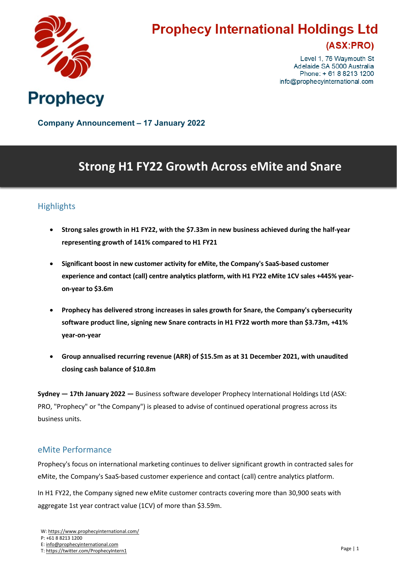

# **Prophecy International Holdings Ltd**

### (ASX:PRO)

Level 1, 76 Waymouth St Adelaide SA 5000 Australia Phone: +61882131200 info@prophecyinternational.com

**Company Announcement – 17 January 2022**

## **Strong H1 FY22 Growth Across eMite and Snare**

### **Highlights**

- **Strong sales growth in H1 FY22, with the \$7.33m in new business achieved during the half-year representing growth of 141% compared to H1 FY21**
- **Significant boost in new customer activity for eMite, the Company's SaaS-based customer experience and contact (call) centre analytics platform, with H1 FY22 eMite 1CV sales +445% yearon-year to \$3.6m**
- **Prophecy has delivered strong increases in sales growth for Snare, the Company's cybersecurity software product line, signing new Snare contracts in H1 FY22 worth more than \$3.73m, +41% year-on-year**
- **Group annualised recurring revenue (ARR) of \$15.5m as at 31 December 2021, with unaudited closing cash balance of \$10.8m**

**Sydney — 17th January 2022 —** Business software developer Prophecy International Holdings Ltd (ASX: PRO, "Prophecy" or "the Company") is pleased to advise of continued operational progress across its business units.

#### eMite Performance

Prophecy's focus on international marketing continues to deliver significant growth in contracted sales for eMite, the Company's SaaS-based customer experience and contact (call) centre analytics platform.

In H1 FY22, the Company signed new eMite customer contracts covering more than 30,900 seats with aggregate 1st year contract value (1CV) of more than \$3.59m.

T: <https://twitter.com/ProphecyIntern1>

W: <https://www.prophecyinternational.com/>

P: +61 8 8213 1200

E: [info@prophecyinternational.com](mailto:info@prophecyinternational.com)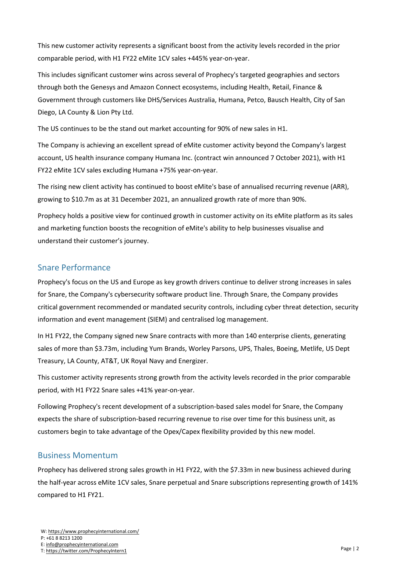This new customer activity represents a significant boost from the activity levels recorded in the prior comparable period, with H1 FY22 eMite 1CV sales +445% year-on-year.

This includes significant customer wins across several of Prophecy's targeted geographies and sectors through both the Genesys and Amazon Connect ecosystems, including Health, Retail, Finance & Government through customers like DHS/Services Australia, Humana, Petco, Bausch Health, City of San Diego, LA County & Lion Pty Ltd.

The US continues to be the stand out market accounting for 90% of new sales in H1.

The Company is achieving an excellent spread of eMite customer activity beyond the Company's largest account, US health insurance company Humana Inc. (contract win announced 7 October 2021), with H1 FY22 eMite 1CV sales excluding Humana +75% year-on-year.

The rising new client activity has continued to boost eMite's base of annualised recurring revenue (ARR), growing to \$10.7m as at 31 December 2021, an annualized growth rate of more than 90%.

Prophecy holds a positive view for continued growth in customer activity on its eMite platform as its sales and marketing function boosts the recognition of eMite's ability to help businesses visualise and understand their customer's journey.

#### Snare Performance

Prophecy's focus on the US and Europe as key growth drivers continue to deliver strong increases in sales for Snare, the Company's cybersecurity software product line. Through Snare, the Company provides critical government recommended or mandated security controls, including cyber threat detection, security information and event management (SIEM) and centralised log management.

In H1 FY22, the Company signed new Snare contracts with more than 140 enterprise clients, generating sales of more than \$3.73m, including Yum Brands, Worley Parsons, UPS, Thales, Boeing, Metlife, US Dept Treasury, LA County, AT&T, UK Royal Navy and Energizer.

This customer activity represents strong growth from the activity levels recorded in the prior comparable period, with H1 FY22 Snare sales +41% year-on-year.

Following Prophecy's recent development of a subscription-based sales model for Snare, the Company expects the share of subscription-based recurring revenue to rise over time for this business unit, as customers begin to take advantage of the Opex/Capex flexibility provided by this new model.

#### Business Momentum

Prophecy has delivered strong sales growth in H1 FY22, with the \$7.33m in new business achieved during the half-year across eMite 1CV sales, Snare perpetual and Snare subscriptions representing growth of 141% compared to H1 FY21.

T: <https://twitter.com/ProphecyIntern1>

P: +61 8 8213 1200

E: [info@prophecyinternational.com](mailto:info@prophecyinternational.com)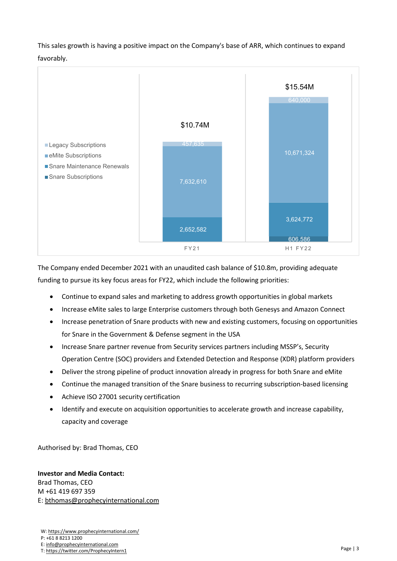This sales growth is having a positive impact on the Company's base of ARR, which continues to expand favorably.



The Company ended December 2021 with an unaudited cash balance of \$10.8m, providing adequate funding to pursue its key focus areas for FY22, which include the following priorities:

- Continue to expand sales and marketing to address growth opportunities in global markets
- Increase eMite sales to large Enterprise customers through both Genesys and Amazon Connect
- Increase penetration of Snare products with new and existing customers, focusing on opportunities for Snare in the Government & Defense segment in the USA
- Increase Snare partner revenue from Security services partners including MSSP's, Security Operation Centre (SOC) providers and Extended Detection and Response (XDR) platform providers
- Deliver the strong pipeline of product innovation already in progress for both Snare and eMite
- Continue the managed transition of the Snare business to recurring subscription-based licensing
- Achieve ISO 27001 security certification
- Identify and execute on acquisition opportunities to accelerate growth and increase capability, capacity and coverage

Authorised by: Brad Thomas, CEO

**Investor and Media Contact:** Brad Thomas, CEO M +61 419 697 359 E: [bthomas@prophecyinternational.com](mailto:bthomas@prophecyinternational.com)

W: <https://www.prophecyinternational.com/> P: +61 8 8213 1200 E: [info@prophecyinternational.com](mailto:info@prophecyinternational.com) T: <https://twitter.com/ProphecyIntern1>

Page | 3